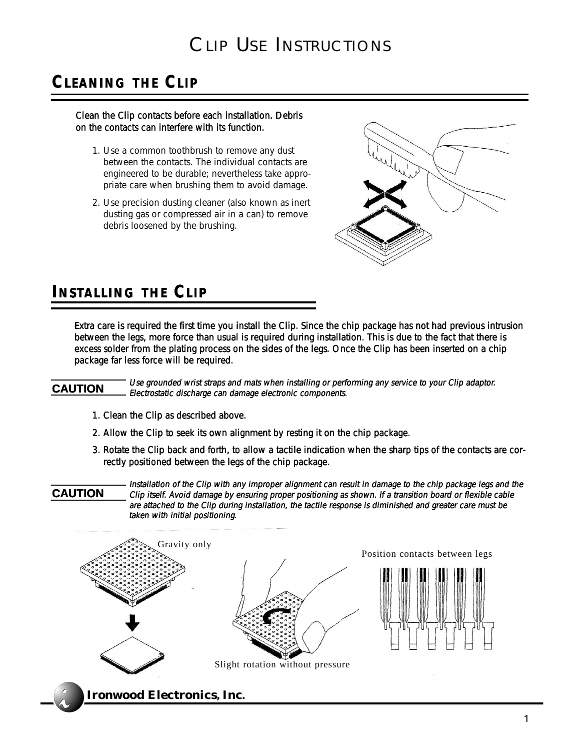# CLIP USE INSTRUCTIONS

## **CLEANING THE CLIP**

#### Clean the Clip contacts before each installation. Debris on the contacts can interfere with its function.

- 1. Use a common toothbrush to remove any dust between the contacts. The individual contacts are engineered to be durable; nevertheless take appropriate care when brushing them to avoid damage.
- 2. Use precision dusting cleaner (also known as inert dusting gas or compressed air in a can) to remove debris loosened by the brushing.



### **INSTALLING THE CLIP**

Extra care is required the first time you install the Clip. Since the chip package has not had previous intrusion between the legs, more force than usual is required during installation. This is due to the fact that there is excess solder from the plating process on the sides of the legs. Once the Clip has been inserted on a chip package far less force will be required.

### **CAUTION**

Use grounded wrist straps and mats when installing or performing any service to your Clip adaptor. Electrostatic discharge can damage electronic components.

- 1. Clean the Clip as described above.
- 2. Allow the Clip to seek its own alignment by resting it on the chip package.
- 3. Rotate the Clip back and forth, to allow a tactile indication when the sharp tips of the contacts are correctly positioned between the legs of the chip package.



Installation of the Clip with any improper alignment can result in damage to the chip package legs and the Clip itself. Avoid damage by ensuring proper positioning as shown. If a transition board or flexible cable are attached to the Clip during installation, the tactile response is diminished and greater care must be taken with initial positioning.